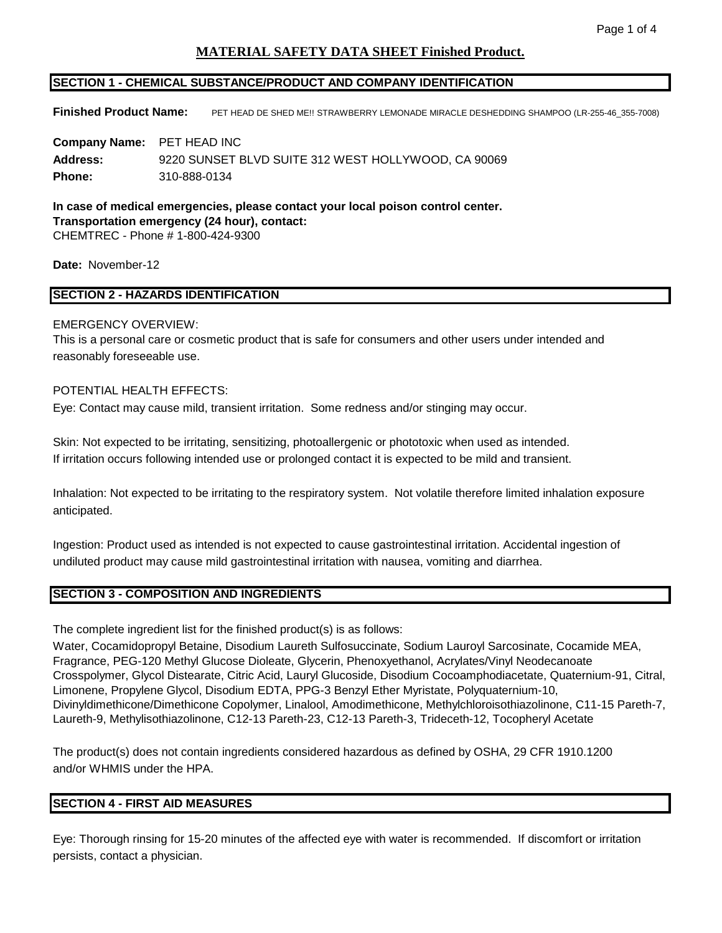# **MATERIAL SAFETY DATA SHEET Finished Product.**

## **SECTION 1 - CHEMICAL SUBSTANCE/PRODUCT AND COMPANY IDENTIFICATION**

**Finished Product Name:** PET HEAD DE SHED ME!! STRAWBERRY LEMONADE MIRACLE DESHEDDING SHAMPOO (LR-255-46\_355-7008)

**Company Name:** PET HEAD INC **Address:** 9220 SUNSET BLVD SUITE 312 WEST HOLLYWOOD, CA 90069 **Phone:** 310-888-0134

**In case of medical emergencies, please contact your local poison control center. Transportation emergency (24 hour), contact:**  CHEMTREC - Phone # 1-800-424-9300

**Date:** November-12

## **SECTION 2 - HAZARDS IDENTIFICATION**

#### EMERGENCY OVERVIEW:

This is a personal care or cosmetic product that is safe for consumers and other users under intended and reasonably foreseeable use.

# POTENTIAL HEALTH EFFECTS:

Eye: Contact may cause mild, transient irritation. Some redness and/or stinging may occur.

Skin: Not expected to be irritating, sensitizing, photoallergenic or phototoxic when used as intended. If irritation occurs following intended use or prolonged contact it is expected to be mild and transient.

Inhalation: Not expected to be irritating to the respiratory system. Not volatile therefore limited inhalation exposure anticipated.

Ingestion: Product used as intended is not expected to cause gastrointestinal irritation. Accidental ingestion of undiluted product may cause mild gastrointestinal irritation with nausea, vomiting and diarrhea.

### **SECTION 3 - COMPOSITION AND INGREDIENTS**

The complete ingredient list for the finished product(s) is as follows:

Water, Cocamidopropyl Betaine, Disodium Laureth Sulfosuccinate, Sodium Lauroyl Sarcosinate, Cocamide MEA, Fragrance, PEG-120 Methyl Glucose Dioleate, Glycerin, Phenoxyethanol, Acrylates/Vinyl Neodecanoate Crosspolymer, Glycol Distearate, Citric Acid, Lauryl Glucoside, Disodium Cocoamphodiacetate, Quaternium-91, Citral, Limonene, Propylene Glycol, Disodium EDTA, PPG-3 Benzyl Ether Myristate, Polyquaternium-10, Divinyldimethicone/Dimethicone Copolymer, Linalool, Amodimethicone, Methylchloroisothiazolinone, C11-15 Pareth-7, Laureth-9, Methylisothiazolinone, C12-13 Pareth-23, C12-13 Pareth-3, Trideceth-12, Tocopheryl Acetate

The product(s) does not contain ingredients considered hazardous as defined by OSHA, 29 CFR 1910.1200 and/or WHMIS under the HPA.

## **SECTION 4 - FIRST AID MEASURES**

Eye: Thorough rinsing for 15-20 minutes of the affected eye with water is recommended. If discomfort or irritation persists, contact a physician.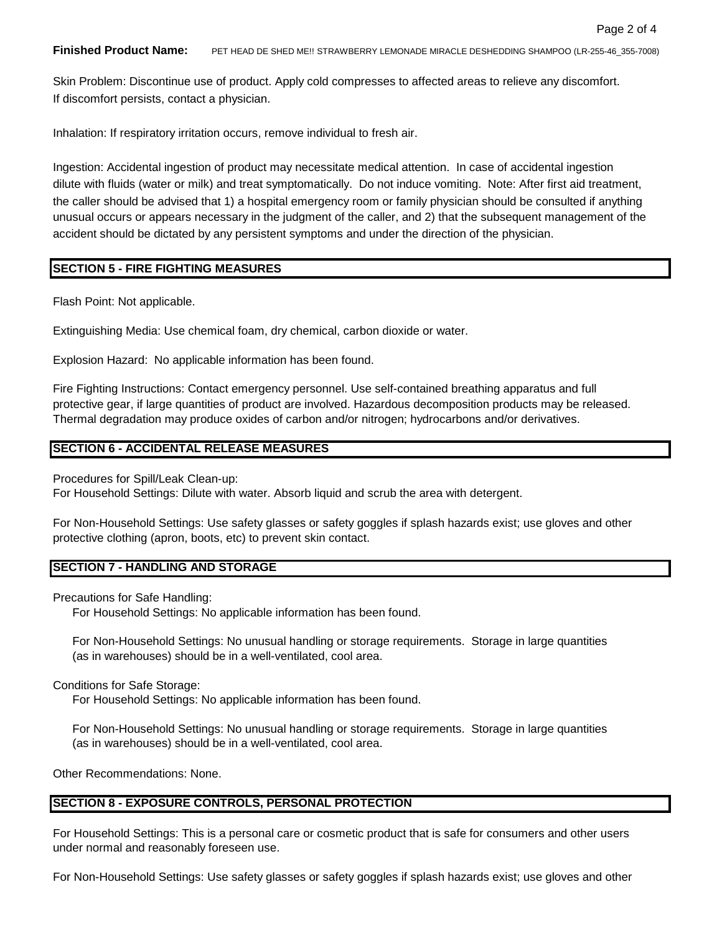**Finished Product Name:** PET HEAD DE SHED ME!! STRAWBERRY LEMONADE MIRACLE DESHEDDING SHAMPOO (LR-255-46\_355-7008)

Skin Problem: Discontinue use of product. Apply cold compresses to affected areas to relieve any discomfort. If discomfort persists, contact a physician.

Inhalation: If respiratory irritation occurs, remove individual to fresh air.

Ingestion: Accidental ingestion of product may necessitate medical attention. In case of accidental ingestion dilute with fluids (water or milk) and treat symptomatically. Do not induce vomiting. Note: After first aid treatment, the caller should be advised that 1) a hospital emergency room or family physician should be consulted if anything unusual occurs or appears necessary in the judgment of the caller, and 2) that the subsequent management of the accident should be dictated by any persistent symptoms and under the direction of the physician.

## **SECTION 5 - FIRE FIGHTING MEASURES**

Flash Point: Not applicable.

Extinguishing Media: Use chemical foam, dry chemical, carbon dioxide or water.

Explosion Hazard: No applicable information has been found.

Fire Fighting Instructions: Contact emergency personnel. Use self-contained breathing apparatus and full protective gear, if large quantities of product are involved. Hazardous decomposition products may be released. Thermal degradation may produce oxides of carbon and/or nitrogen; hydrocarbons and/or derivatives.

#### **SECTION 6 - ACCIDENTAL RELEASE MEASURES**

Procedures for Spill/Leak Clean-up:

For Household Settings: Dilute with water. Absorb liquid and scrub the area with detergent.

For Non-Household Settings: Use safety glasses or safety goggles if splash hazards exist; use gloves and other protective clothing (apron, boots, etc) to prevent skin contact.

#### **SECTION 7 - HANDLING AND STORAGE**

Precautions for Safe Handling:

For Household Settings: No applicable information has been found.

For Non-Household Settings: No unusual handling or storage requirements. Storage in large quantities (as in warehouses) should be in a well-ventilated, cool area.

Conditions for Safe Storage:

For Household Settings: No applicable information has been found.

For Non-Household Settings: No unusual handling or storage requirements. Storage in large quantities (as in warehouses) should be in a well-ventilated, cool area.

Other Recommendations: None.

#### **SECTION 8 - EXPOSURE CONTROLS, PERSONAL PROTECTION**

For Household Settings: This is a personal care or cosmetic product that is safe for consumers and other users under normal and reasonably foreseen use.

For Non-Household Settings: Use safety glasses or safety goggles if splash hazards exist; use gloves and other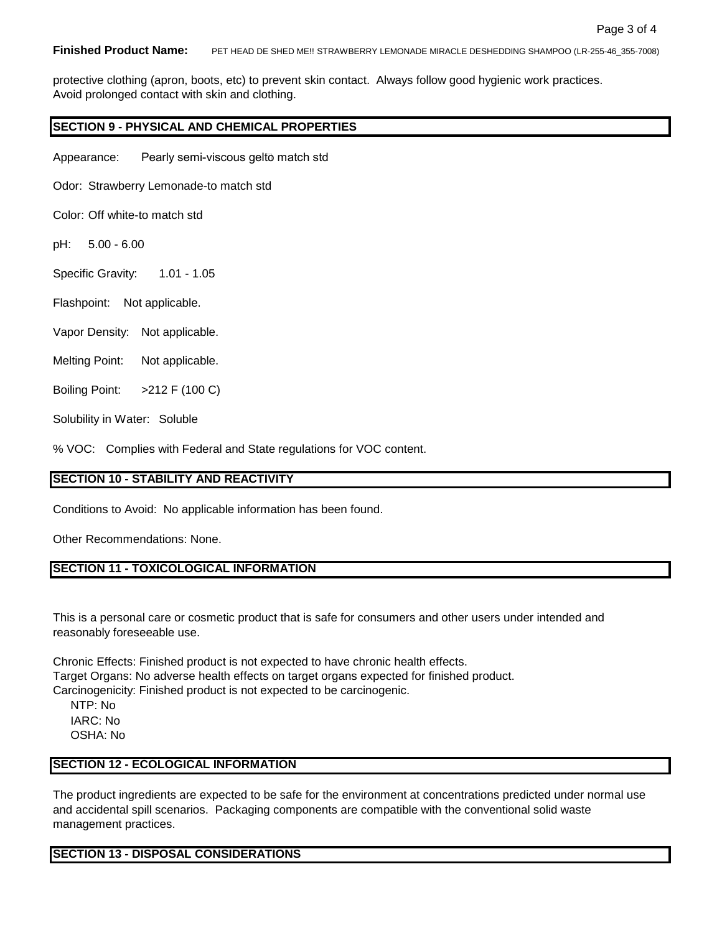protective clothing (apron, boots, etc) to prevent skin contact. Always follow good hygienic work practices. Avoid prolonged contact with skin and clothing.

## **SECTION 9 - PHYSICAL AND CHEMICAL PROPERTIES**

Appearance: Pearly semi-viscous gel to match std

Odor: Strawberry Lemonade-to match std

Color: Off white-to match std

pH: 5.00 - 6.00

Specific Gravity: 1.01 - 1.05

- Flashpoint: Not applicable.
- Vapor Density: Not applicable.
- Melting Point: Not applicable.

Boiling Point: >212 F (100 C)

Solubility in Water: Soluble

% VOC: Complies with Federal and State regulations for VOC content.

#### **SECTION 10 - STABILITY AND REACTIVITY**

Conditions to Avoid: No applicable information has been found.

Other Recommendations: None.

## **SECTION 11 - TOXICOLOGICAL INFORMATION**

This is a personal care or cosmetic product that is safe for consumers and other users under intended and reasonably foreseeable use.

Chronic Effects: Finished product is not expected to have chronic health effects. Target Organs: No adverse health effects on target organs expected for finished product. Carcinogenicity: Finished product is not expected to be carcinogenic.

NTP: No IARC: No OSHA: No

### **SECTION 12 - ECOLOGICAL INFORMATION**

The product ingredients are expected to be safe for the environment at concentrations predicted under normal use and accidental spill scenarios. Packaging components are compatible with the conventional solid waste management practices.

#### **SECTION 13 - DISPOSAL CONSIDERATIONS**